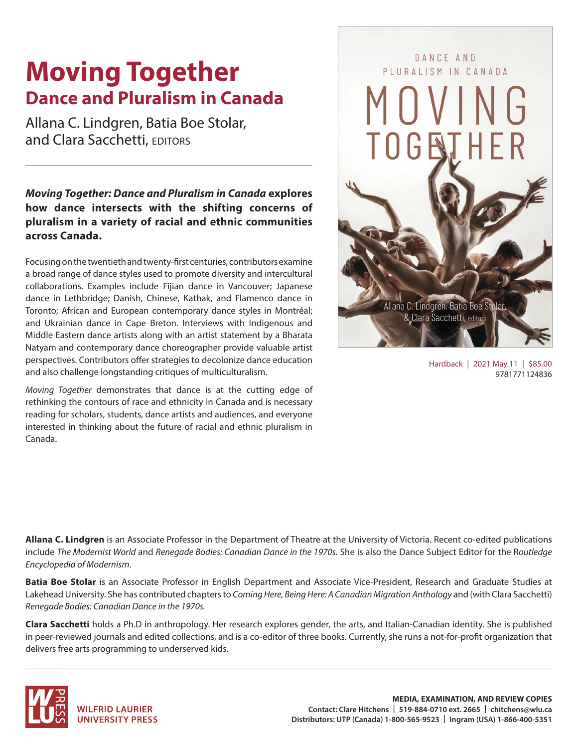# **Moving Together Dance and Pluralism in Canada**

Allana C. Lindgren, Batia Boe Stolar, and Clara Sacchetti, EDITORS

*Moving Together: Dance and Pluralism in Canada* **explores how dance intersects with the shifting concerns of pluralism in a variety of racial and ethnic communities across Canada.** 

Focusing on the twentieth and twenty-first centuries, contributors examine a broad range of dance styles used to promote diversity and intercultural collaborations. Examples include Fijian dance in Vancouver; Japanese dance in Lethbridge; Danish, Chinese, Kathak, and Flamenco dance in Toronto; African and European contemporary dance styles in Montréal; and Ukrainian dance in Cape Breton. Interviews with Indigenous and Middle Eastern dance artists along with an artist statement by a Bharata Natyam and contemporary dance choreographer provide valuable artist perspectives. Contributors offer strategies to decolonize dance education and also challenge longstanding critiques of multiculturalism.

*Moving Together* demonstrates that dance is at the cutting edge of rethinking the contours of race and ethnicity in Canada and is necessary reading for scholars, students, dance artists and audiences, and everyone interested in thinking about the future of racial and ethnic pluralism in Canada.



Hardback | 2021 May 11 | \$85.00 9781771124836

**Allana C. Lindgren** is an Associate Professor in the Department of Theatre at the University of Victoria. Recent co-edited publications include *The Modernist World* and *Renegade Bodies: Canadian Dance in the 1970s*. She is also the Dance Subject Editor for the R*outledge Encyclopedia of Modernism*.

**Batia Boe Stolar** is an Associate Professor in English Department and Associate Vice-President, Research and Graduate Studies at Lakehead University. She has contributed chapters to *Coming Here, Being Here: A Canadian Migration Anthology* and (with Clara Sacchetti) *Renegade Bodies: Canadian Dance in the 1970s.*

**Clara Sacchetti** holds a Ph.D in anthropology. Her research explores gender, the arts, and Italian-Canadian identity. She is published in peer-reviewed journals and edited collections, and is a co-editor of three books. Currently, she runs a not-for-profit organization that delivers free arts programming to underserved kids.